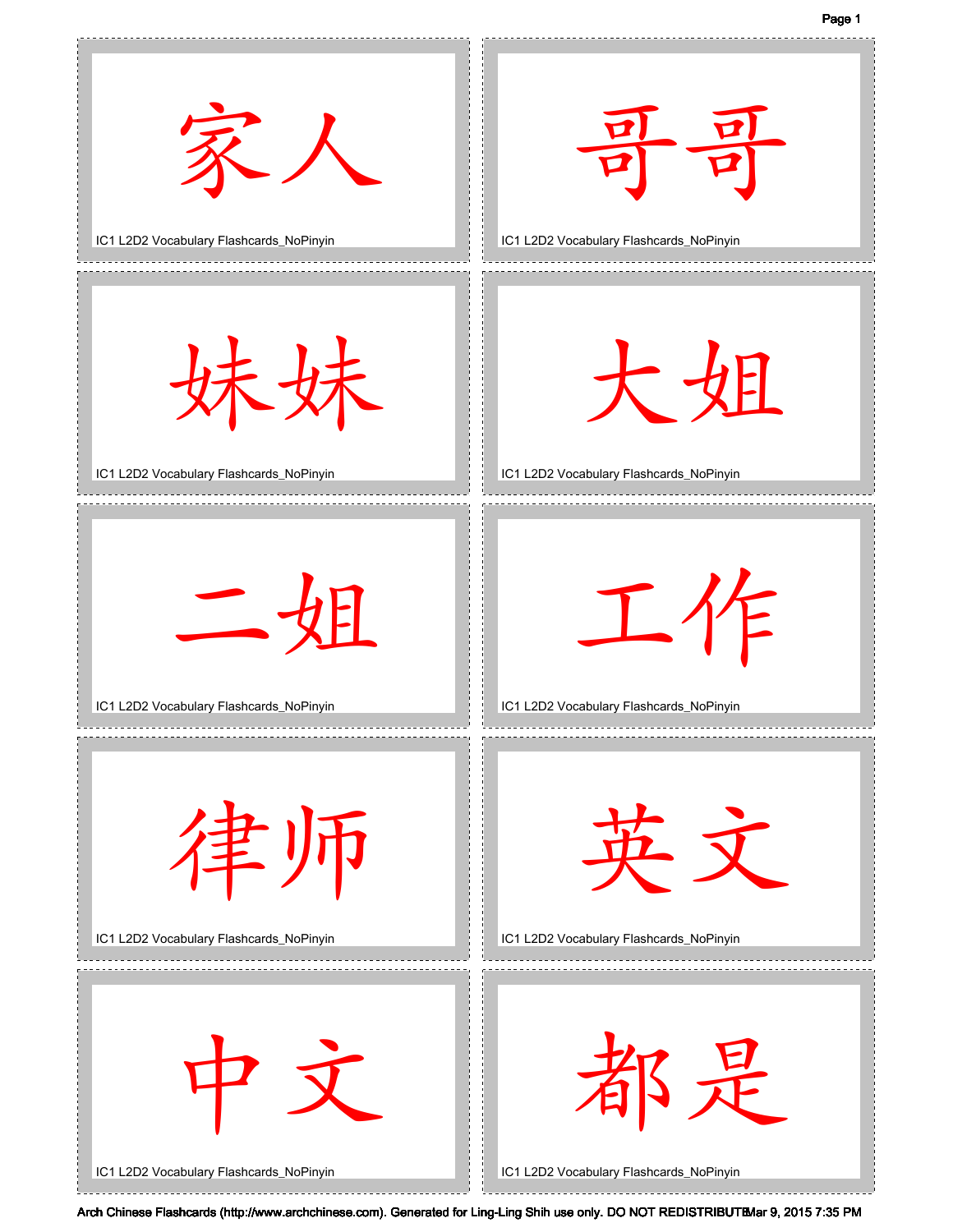Page 1

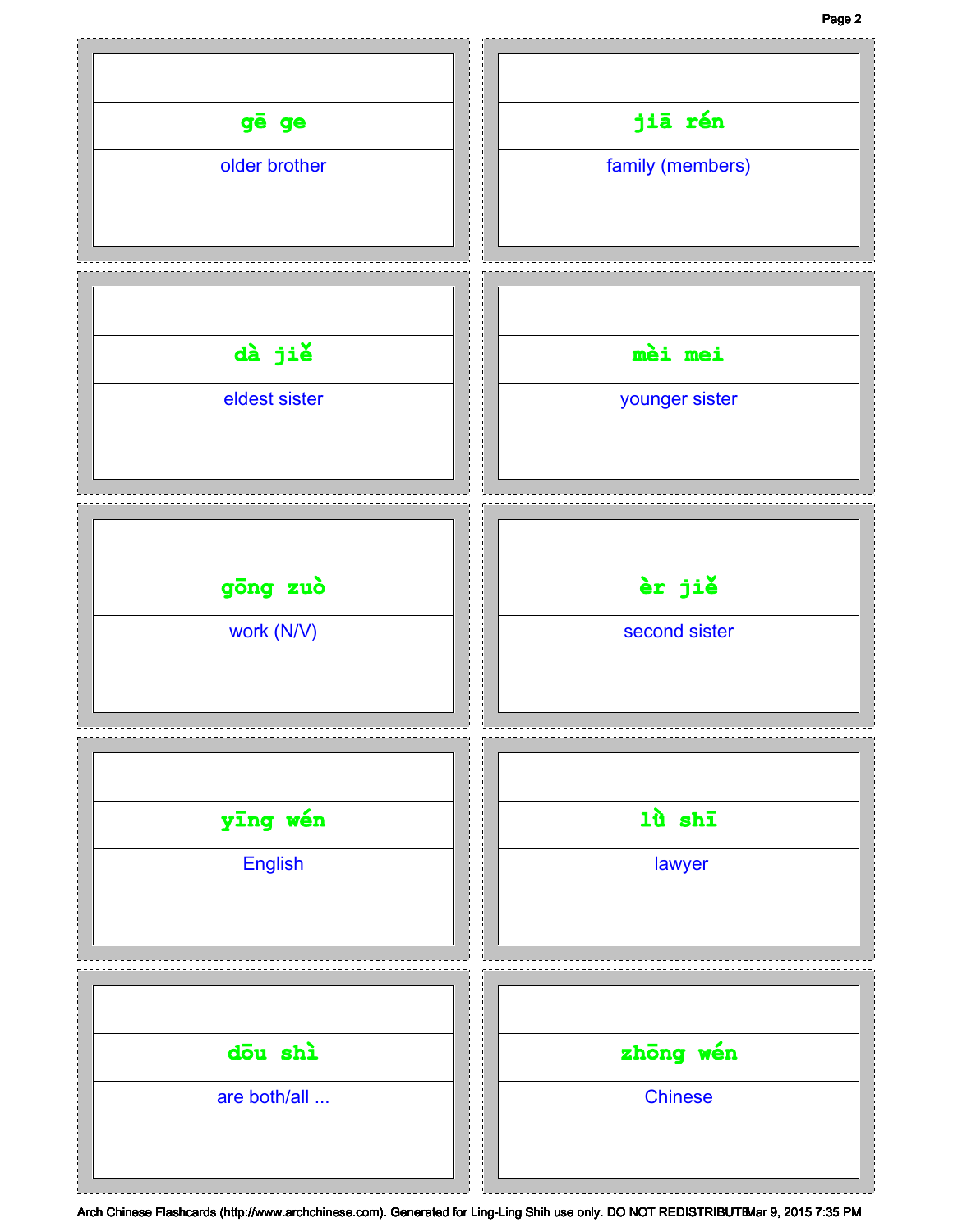## Page 2

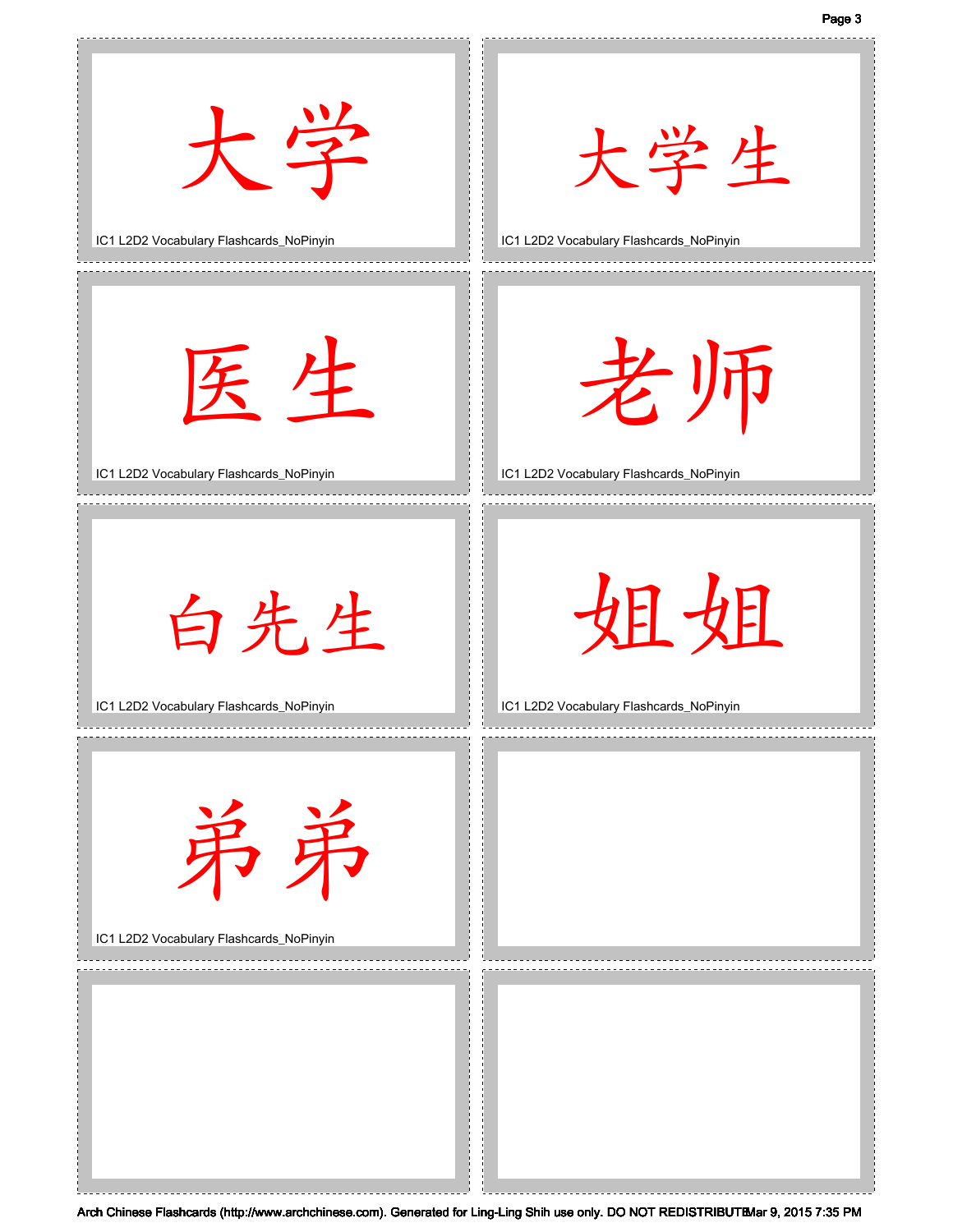